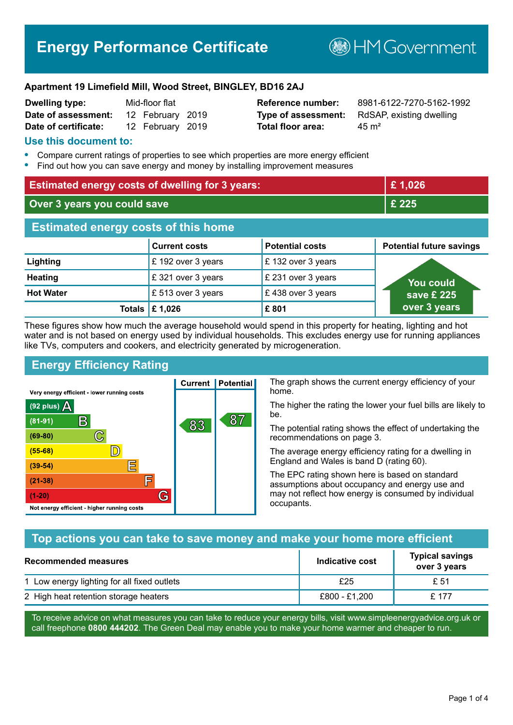# **Energy Performance Certificate**

**B**HMGovernment

#### **Apartment 19 Limefield Mill, Wood Street, BINGLEY, BD16 2AJ**

| <b>Dwelling type:</b> | Mid-floor flat   |  |
|-----------------------|------------------|--|
| Date of assessment:   | 12 February 2019 |  |
| Date of certificate:  | 12 February 2019 |  |

# **Total floor area:** 45 m<sup>2</sup>

**Reference number:** 8981-6122-7270-5162-1992 **Type of assessment:** RdSAP, existing dwelling

#### **Use this document to:**

- **•** Compare current ratings of properties to see which properties are more energy efficient
- **•** Find out how you can save energy and money by installing improvement measures

| <b>Estimated energy costs of dwelling for 3 years:</b> |                                 | £1,026                 |                                 |
|--------------------------------------------------------|---------------------------------|------------------------|---------------------------------|
| Over 3 years you could save                            |                                 | £ 225                  |                                 |
| <b>Estimated energy costs of this home</b>             |                                 |                        |                                 |
|                                                        | <b>Current costs</b>            | <b>Potential costs</b> | <b>Potential future savings</b> |
| Lighting                                               | £ 192 over 3 years              | £132 over 3 years      |                                 |
| <b>Heating</b>                                         | £321 over 3 years               | £ 231 over 3 years     | You could                       |
| <b>Hot Water</b>                                       | £ 513 over 3 years              | £438 over 3 years      | save £ 225                      |
|                                                        | Totals $\mathbf \mathbf 1$ ,026 | £801                   | over 3 years                    |

These figures show how much the average household would spend in this property for heating, lighting and hot water and is not based on energy used by individual households. This excludes energy use for running appliances like TVs, computers and cookers, and electricity generated by microgeneration.

**Current | Potential** 

83

87

# **Energy Efficiency Rating**

 $\mathbb{C}$ 

 $\mathbb{D}$ 

E

肩

G

Very energy efficient - lower running costs

R

Not energy efficient - higher running costs

(92 plus)  $\Delta$ 

 $(81 - 91)$ 

 $(69 - 80)$ 

 $(55-68)$  $(39-54)$ 

 $(21-38)$ 

 $(1-20)$ 

The graph shows the current energy efficiency of your home.

The higher the rating the lower your fuel bills are likely to be.

The potential rating shows the effect of undertaking the recommendations on page 3.

The average energy efficiency rating for a dwelling in England and Wales is band D (rating 60).

The EPC rating shown here is based on standard assumptions about occupancy and energy use and may not reflect how energy is consumed by individual occupants.

#### **Top actions you can take to save money and make your home more efficient**

| Recommended measures                        | Indicative cost | <b>Typical savings</b><br>over 3 years |
|---------------------------------------------|-----------------|----------------------------------------|
| 1 Low energy lighting for all fixed outlets | £25             | £ 51                                   |
| 2 High heat retention storage heaters       | £800 - £1.200   | £ 177                                  |

To receive advice on what measures you can take to reduce your energy bills, visit www.simpleenergyadvice.org.uk or call freephone **0800 444202**. The Green Deal may enable you to make your home warmer and cheaper to run.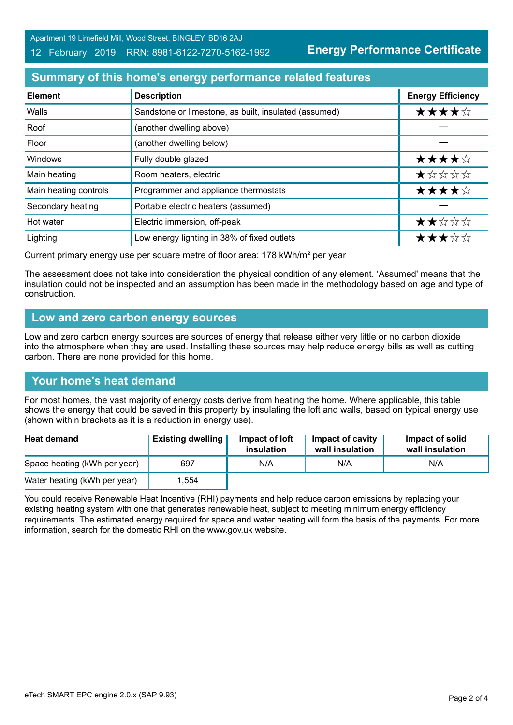Apartment 19 Limefield Mill, Wood Street, BINGLEY, BD16 2AJ

#### 12 February 2019 RRN: 8981-6122-7270-5162-1992

**Energy Performance Certificate**

### **Summary of this home's energy performance related features**

| <b>Element</b>        | <b>Description</b>                                    | <b>Energy Efficiency</b> |
|-----------------------|-------------------------------------------------------|--------------------------|
| Walls                 | Sandstone or limestone, as built, insulated (assumed) | ★★★★☆                    |
| Roof                  | (another dwelling above)                              |                          |
| Floor                 | (another dwelling below)                              |                          |
| Windows               | Fully double glazed                                   | ★★★★☆                    |
| Main heating          | Room heaters, electric                                | ★☆☆☆☆                    |
| Main heating controls | Programmer and appliance thermostats                  | ★★★★☆                    |
| Secondary heating     | Portable electric heaters (assumed)                   |                          |
| Hot water             | Electric immersion, off-peak                          | ★★☆☆☆                    |
| Lighting              | Low energy lighting in 38% of fixed outlets           | ★★★☆☆                    |

Current primary energy use per square metre of floor area: 178 kWh/m² per year

The assessment does not take into consideration the physical condition of any element. 'Assumed' means that the insulation could not be inspected and an assumption has been made in the methodology based on age and type of construction.

#### **Low and zero carbon energy sources**

Low and zero carbon energy sources are sources of energy that release either very little or no carbon dioxide into the atmosphere when they are used. Installing these sources may help reduce energy bills as well as cutting carbon. There are none provided for this home.

#### **Your home's heat demand**

For most homes, the vast majority of energy costs derive from heating the home. Where applicable, this table shows the energy that could be saved in this property by insulating the loft and walls, based on typical energy use (shown within brackets as it is a reduction in energy use).

| <b>Heat demand</b>           | <b>Existing dwelling</b> | Impact of loft<br>insulation | Impact of cavity<br>wall insulation | Impact of solid<br>wall insulation |
|------------------------------|--------------------------|------------------------------|-------------------------------------|------------------------------------|
| Space heating (kWh per year) | 697                      | N/A                          | N/A                                 | N/A                                |
| Water heating (kWh per year) | 1.554                    |                              |                                     |                                    |

You could receive Renewable Heat Incentive (RHI) payments and help reduce carbon emissions by replacing your existing heating system with one that generates renewable heat, subject to meeting minimum energy efficiency requirements. The estimated energy required for space and water heating will form the basis of the payments. For more information, search for the domestic RHI on the www.gov.uk website.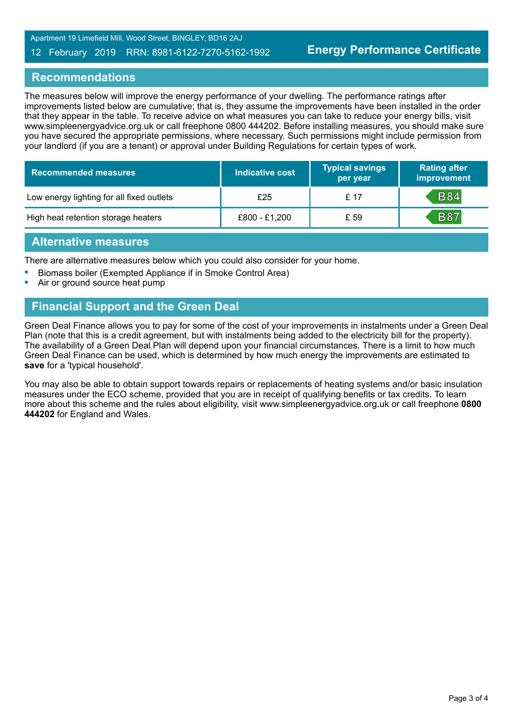Apartment 19 Limefield Mill, Wood Street, BINGLEY, BD16 2AJ

#### 12 February 2019 RRN: 8981-6122-7270-5162-1992

#### **Recommendations**

The measures below will improve the energy performance of your dwelling. The performance ratings after improvements listed below are cumulative; that is, they assume the improvements have been installed in the order that they appear in the table. To receive advice on what measures you can take to reduce your energy bills, visit www.simpleenergyadvice.org.uk or call freephone 0800 444202. Before installing measures, you should make sure you have secured the appropriate permissions, where necessary. Such permissions might include permission from your landlord (if you are a tenant) or approval under Building Regulations for certain types of work.

| <b>Recommended measures</b>               | Indicative cost | <b>Typical savings</b><br>per year | <b>Rating after</b><br>improvement |
|-------------------------------------------|-----------------|------------------------------------|------------------------------------|
| Low energy lighting for all fixed outlets | £25             | £ 17                               | <b>B84</b>                         |
| High heat retention storage heaters       | £800 - £1,200   | £ 59                               | <b>B87</b>                         |

#### **Alternative measures**

There are alternative measures below which you could also consider for your home.

- **•** Biomass boiler (Exempted Appliance if in Smoke Control Area)
- **•** Air or ground source heat pump

## **Financial Support and the Green Deal**

Green Deal Finance allows you to pay for some of the cost of your improvements in instalments under a Green Deal Plan (note that this is a credit agreement, but with instalments being added to the electricity bill for the property). The availability of a Green Deal Plan will depend upon your financial circumstances. There is a limit to how much Green Deal Finance can be used, which is determined by how much energy the improvements are estimated to **save** for a 'typical household'.

You may also be able to obtain support towards repairs or replacements of heating systems and/or basic insulation measures under the ECO scheme, provided that you are in receipt of qualifying benefits or tax credits. To learn more about this scheme and the rules about eligibility, visit www.simpleenergyadvice.org.uk or call freephone **0800 444202** for England and Wales.